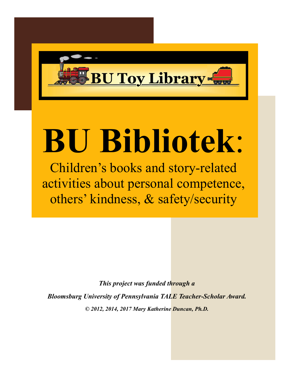

# **BU Bibliotek**:

Children's books and story-related activities about personal competence, others' kindness, & safety/security

*This project was funded through a Bloomsburg University of Pennsylvania TALE Teacher-Scholar Award. © 2012, 2014, 2017 Mary Katherine Duncan, Ph.D.*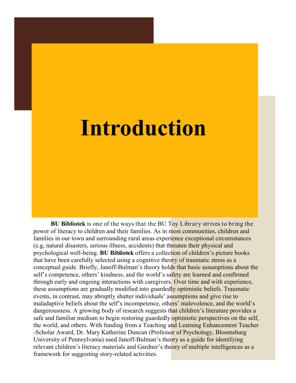#### **Introduction**

**BU Bibliotek** is one of the ways that the BU Toy Library strives to bring the power of literacy to children and their families. As in most communities, children and families in our town and surrounding rural areas experience exceptional circumstances (e.g, natural disasters, serious illness, accidents) that threaten their physical and psychological well-being. **BU Bibliotek** offers a collection of children's picture books that have been carefully selected using a cognitive theory of traumatic stress as a conceptual guide. Briefly, Janoff-Bulman's theory holds that basic assumptions about the self's competence, others' kindness, and the world's safety are learned and confirmed through early and ongoing interactions with caregivers. Over time and with experience, these assumptions are gradually modified into guardedly optimistic beliefs. Traumatic events, in contrast, may abruptly shatter individuals' assumptions and give rise to maladaptive beliefs about the self's incompetence, others' malevolence, and the world's dangerousness. A growing body of research suggests that children's literature provides a safe and familiar medium to begin restoring guardedly **optimistic perspectives on the self**, the world, and others. With funding from a Teaching and Learning Enhancement Teacher -Scholar Award, Dr. Mary Katherine Duncan (Professor of Psychology, Bloomsburg University of Pennsylvania) used Janoff-Bulman's theory as a guide for identifying relevant children's literacy materials and Gardner's theory of multiple intelligences as a framework for suggesting story-related activities.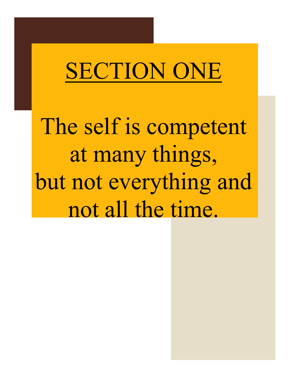# SECTION ONE

The self is competent at many things, but not everything and not all the time.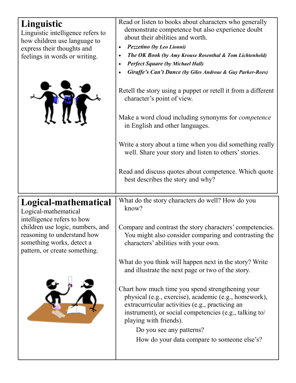| Linguistic<br>Linguistic intelligence refers to<br>how children use language to<br>express their thoughts and<br>feelings in words or writing.                             | Read or listen to books about characters who generally<br>demonstrate competence but also experience doubt<br>about their abilities and worth.<br>Pezzetino (by Leo Lionni)<br>The OK Book (by Amy Krouse Rosenthal & Tom Lichtenheld)<br>$\bullet$<br><b>Perfect Square (by Michael Hall)</b><br><b>Giraffe's Can't Dance (by Giles Andreae &amp; Guy Parker-Rees)</b><br>Retell the story using a puppet or retell it from a different<br>character's point of view.<br>Make a word cloud including synonyms for <i>competence</i><br>in English and other languages.<br>Write a story about a time when you did something really<br>well. Share your story and listen to others' stories.<br>Read and discuss quotes about competence. Which quote<br>best describes the story and why? |
|----------------------------------------------------------------------------------------------------------------------------------------------------------------------------|--------------------------------------------------------------------------------------------------------------------------------------------------------------------------------------------------------------------------------------------------------------------------------------------------------------------------------------------------------------------------------------------------------------------------------------------------------------------------------------------------------------------------------------------------------------------------------------------------------------------------------------------------------------------------------------------------------------------------------------------------------------------------------------------|
| Logical-mathematical<br>Logical-mathematical<br>intelligence refers to how<br>children use logic, numbers, and<br>reasoning to understand how<br>something works, detect a | What do the story characters do well? How do you<br>know?<br>Compare and contrast the story characters' competencies.<br>You might also consider comparing and contrasting the<br>characters' abilities with your own.                                                                                                                                                                                                                                                                                                                                                                                                                                                                                                                                                                     |
| pattern, or create something.                                                                                                                                              | What do you think will happen next in the story? Write<br>and illustrate the next page or two of the story.                                                                                                                                                                                                                                                                                                                                                                                                                                                                                                                                                                                                                                                                                |
|                                                                                                                                                                            | Chart how much time you spend strengthening your<br>physical (e.g., exercise), academic (e.g., homework),<br>extracurricular activities (e.g., practicing an<br>instrument), or social competencies (e.g., talking to/<br>playing with friends).<br>Do you see any patterns?<br>How do your data compare to someone else's?                                                                                                                                                                                                                                                                                                                                                                                                                                                                |
|                                                                                                                                                                            |                                                                                                                                                                                                                                                                                                                                                                                                                                                                                                                                                                                                                                                                                                                                                                                            |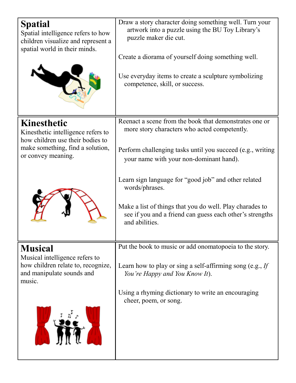| <b>Spatial</b><br>Spatial intelligence refers to how<br>children visualize and represent a<br>spatial world in their minds.                     | Draw a story character doing something well. Turn your<br>artwork into a puzzle using the BU Toy Library's<br>puzzle maker die cut.<br>Create a diorama of yourself doing something well.<br>Use everyday items to create a sculpture symbolizing<br>competence, skill, or success. |
|-------------------------------------------------------------------------------------------------------------------------------------------------|-------------------------------------------------------------------------------------------------------------------------------------------------------------------------------------------------------------------------------------------------------------------------------------|
| Kinesthetic<br>Kinesthetic intelligence refers to<br>how children use their bodies to<br>make something, find a solution,<br>or convey meaning. | Reenact a scene from the book that demonstrates one or<br>more story characters who acted competently.<br>Perform challenging tasks until you succeed (e.g., writing<br>your name with your non-dominant hand).                                                                     |
|                                                                                                                                                 | Learn sign language for "good job" and other related<br>words/phrases.<br>Make a list of things that you do well. Play charades to<br>see if you and a friend can guess each other's strengths<br>and abilities.                                                                    |
| <b>Musical</b><br>Musical intelligence refers to<br>how children relate to, recognize,<br>and manipulate sounds and<br>music.                   | Put the book to music or add onomatopoeia to the story.<br>Learn how to play or sing a self-affirming song (e.g., If<br>You're Happy and You Know It).                                                                                                                              |
|                                                                                                                                                 | Using a rhyming dictionary to write an encouraging<br>cheer, poem, or song.                                                                                                                                                                                                         |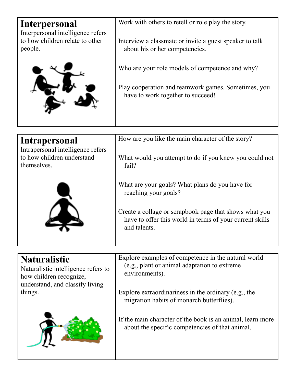| Interpersonal<br>Interpersonal intelligence refers                                                                                  | Work with others to retell or role play the story.                                                                                 |
|-------------------------------------------------------------------------------------------------------------------------------------|------------------------------------------------------------------------------------------------------------------------------------|
| to how children relate to other<br>people.                                                                                          | Interview a classmate or invite a guest speaker to talk<br>about his or her competencies.                                          |
|                                                                                                                                     | Who are your role models of competence and why?                                                                                    |
|                                                                                                                                     | Play cooperation and teamwork games. Sometimes, you<br>have to work together to succeed!                                           |
| Intrapersonal                                                                                                                       | How are you like the main character of the story?                                                                                  |
| Intrapersonal intelligence refers<br>to how children understand<br>themselves.                                                      | What would you attempt to do if you knew you could not<br>fail?                                                                    |
|                                                                                                                                     | What are your goals? What plans do you have for<br>reaching your goals?                                                            |
|                                                                                                                                     | Create a collage or scrapbook page that shows what you<br>have to offer this world in terms of your current skills<br>and talents. |
|                                                                                                                                     |                                                                                                                                    |
| <b>Naturalistic</b><br>Naturalistic intelligence refers to<br>how children recognize,<br>understand, and classify living<br>things. | Explore examples of competence in the natural world<br>(e.g., plant or animal adaptation to extreme)<br>environments).             |
|                                                                                                                                     | Explore extraordinariness in the ordinary (e.g., the<br>migration habits of monarch butterflies).                                  |
|                                                                                                                                     | If the main character of the book is an animal, learn more<br>about the specific competencies of that animal.                      |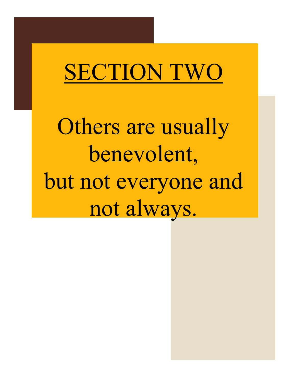## SECTION TWO

Others are usually benevolent, but not everyone and not always.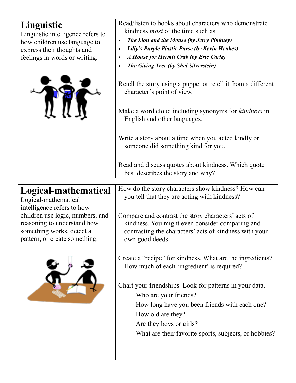| Linguistic                                                     | Read/listen to books about characters who demonstrate<br>kindness <i>most</i> of the time such as  |
|----------------------------------------------------------------|----------------------------------------------------------------------------------------------------|
| Linguistic intelligence refers to                              |                                                                                                    |
| how children use language to                                   | The Lion and the Mouse (by Jerry Pinkney)<br>Lilly's Purple Plastic Purse (by Kevin Henkes)        |
| express their thoughts and<br>feelings in words or writing.    | A House for Hermit Crab (by Eric Carle)                                                            |
|                                                                | The Giving Tree (by Shel Silverstein)                                                              |
|                                                                |                                                                                                    |
|                                                                | Retell the story using a puppet or retell it from a different<br>character's point of view.        |
|                                                                |                                                                                                    |
|                                                                | Make a word cloud including synonyms for <i>kindness</i> in<br>English and other languages.        |
|                                                                | Write a story about a time when you acted kindly or<br>someone did something kind for you.         |
|                                                                | Read and discuss quotes about kindness. Which quote<br>best describes the story and why?           |
|                                                                |                                                                                                    |
| Logical-mathematical                                           | How do the story characters show kindness? How can<br>you tell that they are acting with kindness? |
| Logical-mathematical                                           |                                                                                                    |
| intelligence refers to how<br>children use logic, numbers, and | Compare and contrast the story characters' acts of                                                 |
| reasoning to understand how                                    | kindness. You might even consider comparing and                                                    |
| something works, detect a                                      | contrasting the characters' acts of kindness with your                                             |
| pattern, or create something.                                  | own good deeds.                                                                                    |
|                                                                |                                                                                                    |
|                                                                | Create a "recipe" for kindness. What are the ingredients?                                          |
|                                                                | How much of each 'ingredient' is required?                                                         |
|                                                                |                                                                                                    |
|                                                                | Chart your friendships. Look for patterns in your data.                                            |
|                                                                | Who are your friends?                                                                              |
|                                                                | How long have you been friends with each one?                                                      |
|                                                                | How old are they?                                                                                  |
|                                                                | Are they boys or girls?                                                                            |
|                                                                | What are their favorite sports, subjects, or hobbies?                                              |
|                                                                |                                                                                                    |
|                                                                |                                                                                                    |
|                                                                |                                                                                                    |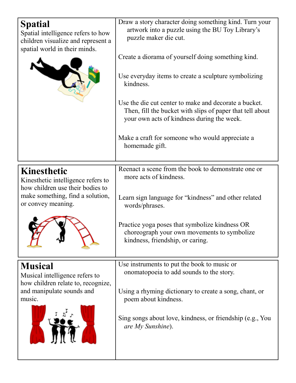| <b>Spatial</b><br>Spatial intelligence refers to how<br>children visualize and represent a<br>spatial world in their minds.                            | Draw a story character doing something kind. Turn your<br>artwork into a puzzle using the BU Toy Library's<br>puzzle maker die cut.<br>Create a diorama of yourself doing something kind.<br>Use everyday items to create a sculpture symbolizing<br>kindness.<br>Use the die cut center to make and decorate a bucket.<br>Then, fill the bucket with slips of paper that tell about<br>your own acts of kindness during the week.<br>Make a craft for someone who would appreciate a |
|--------------------------------------------------------------------------------------------------------------------------------------------------------|---------------------------------------------------------------------------------------------------------------------------------------------------------------------------------------------------------------------------------------------------------------------------------------------------------------------------------------------------------------------------------------------------------------------------------------------------------------------------------------|
|                                                                                                                                                        | homemade gift.                                                                                                                                                                                                                                                                                                                                                                                                                                                                        |
| <b>Kinesthetic</b><br>Kinesthetic intelligence refers to<br>how children use their bodies to<br>make something, find a solution,<br>or convey meaning. | Reenact a scene from the book to demonstrate one or<br>more acts of kindness.<br>Learn sign language for "kindness" and other related<br>words/phrases.<br>Practice yoga poses that symbolize kindness OR<br>choreograph your own movements to symbolize<br>kindness, friendship, or caring.                                                                                                                                                                                          |
| <b>Musical</b><br>Musical intelligence refers to<br>how children relate to, recognize,<br>and manipulate sounds and<br>music.                          | Use instruments to put the book to music or<br>onomatopoeia to add sounds to the story.<br>Using a rhyming dictionary to create a song, chant, or<br>poem about kindness.<br>Sing songs about love, kindness, or friendship (e.g., You<br>are My Sunshine).                                                                                                                                                                                                                           |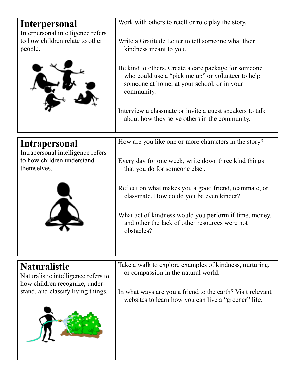| Interpersonal                                                                                | Work with others to retell or role play the story.                                                                                                                      |
|----------------------------------------------------------------------------------------------|-------------------------------------------------------------------------------------------------------------------------------------------------------------------------|
| Interpersonal intelligence refers<br>to how children relate to other<br>people.              | Write a Gratitude Letter to tell someone what their<br>kindness meant to you.                                                                                           |
|                                                                                              | Be kind to others. Create a care package for some one<br>who could use a "pick me up" or volunteer to help<br>someone at home, at your school, or in your<br>community. |
|                                                                                              | Interview a classmate or invite a guest speakers to talk<br>about how they serve others in the community.                                                               |
| Intrapersonal                                                                                | How are you like one or more characters in the story?                                                                                                                   |
| Intrapersonal intelligence refers<br>to how children understand<br>themselves.               | Every day for one week, write down three kind things<br>that you do for someone else.                                                                                   |
|                                                                                              | Reflect on what makes you a good friend, teammate, or<br>classmate. How could you be even kinder?                                                                       |
|                                                                                              | What act of kindness would you perform if time, money,<br>and other the lack of other resources were not<br>obstacles?                                                  |
|                                                                                              |                                                                                                                                                                         |
| <b>Naturalistic</b><br>Naturalistic intelligence refers to<br>how children recognize, under- | Take a walk to explore examples of kindness, nurturing,<br>or compassion in the natural world.                                                                          |
| stand, and classify living things.                                                           | In what ways are you a friend to the earth? Visit relevant<br>websites to learn how you can live a "greener" life.                                                      |
|                                                                                              |                                                                                                                                                                         |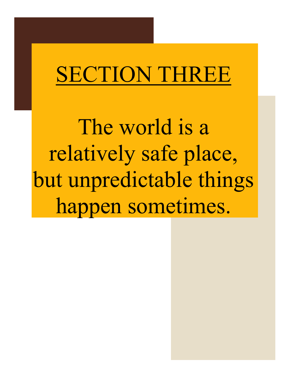### SECTION THREE

The world is a relatively safe place, but unpredictable things happen sometimes.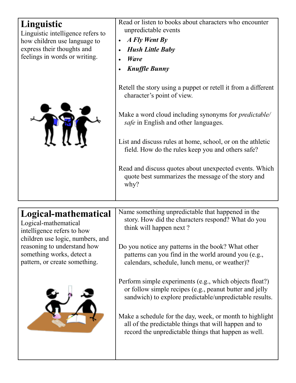| Linguistic<br>Linguistic intelligence refers to<br>how children use language to<br>express their thoughts and<br>feelings in words or writing.                             | Read or listen to books about characters who encounter<br>unpredictable events<br>A Fly Went By<br><b>Hush Little Baby</b><br><b>Wave</b><br><b>Knuffle Bunny</b><br>Retell the story using a puppet or retell it from a different<br>character's point of view.<br>Make a word cloud including synonyms for <i>predictable</i><br>safe in English and other languages.<br>List and discuss rules at home, school, or on the athletic<br>field. How do the rules keep you and others safe?<br>Read and discuss quotes about unexpected events. Which<br>quote best summarizes the message of the story and<br>why? |
|----------------------------------------------------------------------------------------------------------------------------------------------------------------------------|--------------------------------------------------------------------------------------------------------------------------------------------------------------------------------------------------------------------------------------------------------------------------------------------------------------------------------------------------------------------------------------------------------------------------------------------------------------------------------------------------------------------------------------------------------------------------------------------------------------------|
| Logical-mathematical<br>Logical-mathematical<br>intelligence refers to how<br>children use logic, numbers, and<br>reasoning to understand how<br>something works, detect a | Name something unpredictable that happened in the<br>story. How did the characters respond? What do you<br>think will happen next?<br>Do you notice any patterns in the book? What other<br>patterns can you find in the world around you (e.g.,                                                                                                                                                                                                                                                                                                                                                                   |
| pattern, or create something.                                                                                                                                              | calendars, schedule, lunch menu, or weather)?                                                                                                                                                                                                                                                                                                                                                                                                                                                                                                                                                                      |



Perform simple experiments (e.g., which objects float?) or follow simple recipes (e.g., peanut butter and jelly sandwich) to explore predictable/unpredictable results.

Make a schedule for the day, week, or month to highlight all of the predictable things that will happen and to record the unpredictable things that happen as well.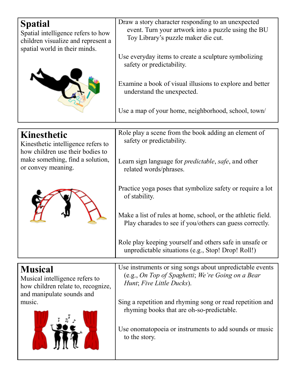| <b>Spatial</b><br>Spatial intelligence refers to how<br>children visualize and represent a<br>spatial world in their minds. | Draw a story character responding to an unexpected<br>event. Turn your artwork into a puzzle using the BU<br>Toy Library's puzzle maker die cut.<br>Use everyday items to create a sculpture symbolizing<br>safety or predictability.<br>Examine a book of visual illusions to explore and better<br>understand the unexpected.<br>Use a map of your home, neighborhood, school, town/ |
|-----------------------------------------------------------------------------------------------------------------------------|----------------------------------------------------------------------------------------------------------------------------------------------------------------------------------------------------------------------------------------------------------------------------------------------------------------------------------------------------------------------------------------|
| <b>Kinesthetic</b>                                                                                                          | Role play a scene from the book adding an element of                                                                                                                                                                                                                                                                                                                                   |
| Kinesthetic intelligence refers to                                                                                          | safety or predictability.                                                                                                                                                                                                                                                                                                                                                              |
| how children use their bodies to<br>make something, find a solution,                                                        | Learn sign language for <i>predictable</i> , <i>safe</i> , and other                                                                                                                                                                                                                                                                                                                   |
| or convey meaning.                                                                                                          | related words/phrases.                                                                                                                                                                                                                                                                                                                                                                 |
|                                                                                                                             | Practice yoga poses that symbolize safety or require a lot<br>of stability.                                                                                                                                                                                                                                                                                                            |
|                                                                                                                             | Make a list of rules at home, school, or the athletic field.<br>Play charades to see if you/others can guess correctly.                                                                                                                                                                                                                                                                |
|                                                                                                                             | Role play keeping yourself and others safe in unsafe or<br>unpredictable situations (e.g., Stop! Drop! Roll!)                                                                                                                                                                                                                                                                          |
| <b>Musical</b>                                                                                                              | Use instruments or sing songs about unpredictable events                                                                                                                                                                                                                                                                                                                               |
| Musical intelligence refers to<br>how children relate to, recognize,<br>and manipulate sounds and                           | (e.g., On Top of Spaghetti; We're Going on a Bear<br>Hunt; Five Little Ducks).                                                                                                                                                                                                                                                                                                         |
| music.                                                                                                                      | Sing a repetition and rhyming song or read repetition and<br>rhyming books that are oh-so-predictable.                                                                                                                                                                                                                                                                                 |
|                                                                                                                             | Use onomatopoeia or instruments to add sounds or music<br>to the story.                                                                                                                                                                                                                                                                                                                |